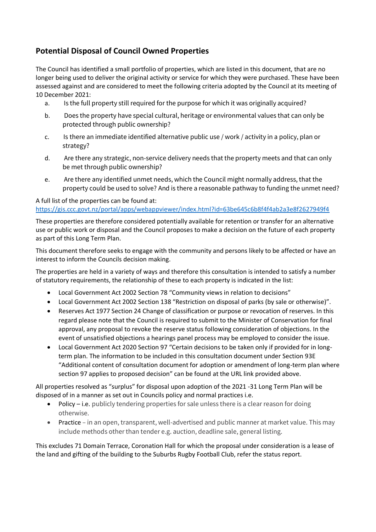## **Potential Disposal of Council Owned Properties**

The Council has identified a small portfolio of properties, which are listed in this document, that are no longer being used to deliver the original activity or service for which they were purchased. These have been assessed against and are considered to meet the following criteria adopted by the Council at its meeting of 10 December 2021:

- a. Is the full property still required for the purpose for which it was originally acquired?
- b. Does the property have special cultural, heritage or environmental values that can only be protected through public ownership?
- c. Is there an immediate identified alternative public use / work / activity in a policy, plan or strategy?
- d. Are there any strategic, non-service delivery needs that the property meets and that can only be met through public ownership?
- e. Are there any identified unmet needs, which the Council might normally address, that the property could be used to solve? And is there a reasonable pathway to funding the unmet need?

## A full list of the properties can be found at: <https://gis.ccc.govt.nz/portal/apps/webappviewer/index.html?id=63be645c6b8f4f4ab2a3e8f2627949f4>

These properties are therefore considered potentially available for retention or transfer for an alternative use or public work or disposal and the Council proposes to make a decision on the future of each property as part of this Long Term Plan.

This document therefore seeks to engage with the community and persons likely to be affected or have an interest to inform the Councils decision making.

The properties are held in a variety of ways and therefore this consultation is intended to satisfy a number of statutory requirements, the relationship of these to each property is indicated in the list:

- Local Government Act 2002 Section 78 "Community views in relation to decisions"
- Local Government Act 2002 Section 138 "Restriction on disposal of parks (by sale or otherwise)".
- Reserves Act 1977 Section 24 Change of classification or purpose or revocation of reserves. In this regard please note that the Council is required to submit to the Minister of Conservation for final approval, any proposal to revoke the reserve status following consideration of objections. In the event of unsatisfied objections a hearings panel process may be employed to consider the issue.
- Local Government Act 2020 Section 97 "Certain decisions to be taken only if provided for in longterm plan. The information to be included in this consultation document under Section 93E "Additional content of consultation document for adoption or amendment of long-term plan where section 97 applies to proposed decision" can be found at the URL link provided above.

All properties resolved as "surplus" for disposal upon adoption of the 2021 -31 Long Term Plan will be disposed of in a manner as set out in Councils policy and normal practices i.e.

- Policy i.e. publicly tendering properties for sale unless there is a clear reason for doing otherwise.
- Practice in an open, transparent, well-advertised and public manner at market value. This may include methods other than tender e.g. auction, deadline sale, general listing.

This excludes 71 Domain Terrace, Coronation Hall for which the proposal under consideration is a lease of the land and gifting of the building to the Suburbs Rugby Football Club, refer the status report.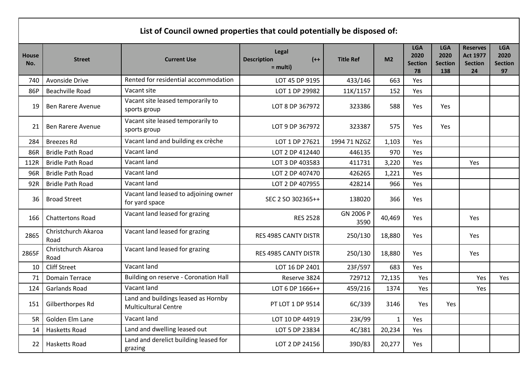| List of Council owned properties that could potentially be disposed of: |                             |                                                                    |                                                            |                   |                |                                            |                                             |                                                            |                                            |
|-------------------------------------------------------------------------|-----------------------------|--------------------------------------------------------------------|------------------------------------------------------------|-------------------|----------------|--------------------------------------------|---------------------------------------------|------------------------------------------------------------|--------------------------------------------|
| <b>House</b><br>No.                                                     | <b>Street</b>               | <b>Current Use</b>                                                 | <b>Legal</b><br>$(+ + )$<br><b>Description</b><br>= multi) | <b>Title Ref</b>  | M <sub>2</sub> | <b>LGA</b><br>2020<br><b>Section</b><br>78 | <b>LGA</b><br>2020<br><b>Section</b><br>138 | <b>Reserves</b><br><b>Act 1977</b><br><b>Section</b><br>24 | <b>LGA</b><br>2020<br><b>Section</b><br>97 |
| 740                                                                     | Avonside Drive              | Rented for residential accommodation                               | LOT 45 DP 9195                                             | 433/146           | 663            | Yes                                        |                                             |                                                            |                                            |
| 86P                                                                     | <b>Beachville Road</b>      | Vacant site                                                        | LOT 1 DP 29982                                             | 11K/1157          | 152            | Yes                                        |                                             |                                                            |                                            |
| 19                                                                      | <b>Ben Rarere Avenue</b>    | Vacant site leased temporarily to<br>sports group                  | LOT 8 DP 367972                                            | 323386            | 588            | Yes                                        | Yes                                         |                                                            |                                            |
| 21                                                                      | <b>Ben Rarere Avenue</b>    | Vacant site leased temporarily to<br>sports group                  | LOT 9 DP 367972                                            | 323387            | 575            | <b>Yes</b>                                 | Yes                                         |                                                            |                                            |
| 284                                                                     | <b>Breezes Rd</b>           | Vacant land and building ex crèche                                 | LOT 1 DP 27621                                             | 1994 71 NZGZ      | 1,103          | Yes                                        |                                             |                                                            |                                            |
| 86R                                                                     | <b>Bridle Path Road</b>     | Vacant land                                                        | LOT 2 DP 412440                                            | 446135            | 970            | Yes                                        |                                             |                                                            |                                            |
| 112R                                                                    | <b>Bridle Path Road</b>     | Vacant land                                                        | LOT 3 DP 403583                                            | 411731            | 3,220          | Yes                                        |                                             | Yes                                                        |                                            |
| 96R                                                                     | <b>Bridle Path Road</b>     | Vacant land                                                        | LOT 2 DP 407470                                            | 426265            | 1,221          | Yes                                        |                                             |                                                            |                                            |
| 92R                                                                     | <b>Bridle Path Road</b>     | Vacant land                                                        | LOT 2 DP 407955                                            | 428214            | 966            | Yes                                        |                                             |                                                            |                                            |
| 36                                                                      | <b>Broad Street</b>         | Vacant land leased to adjoining owner<br>for yard space            | SEC 2 SO 302365++                                          | 138020            | 366            | Yes                                        |                                             |                                                            |                                            |
| 166                                                                     | <b>Chattertons Road</b>     | Vacant land leased for grazing                                     | <b>RES 2528</b>                                            | GN 2006 P<br>3590 | 40,469         | Yes                                        |                                             | Yes                                                        |                                            |
| 2865                                                                    | Christchurch Akaroa<br>Road | Vacant land leased for grazing                                     | RES 4985 CANTY DISTR                                       | 250/130           | 18,880         | Yes                                        |                                             | Yes                                                        |                                            |
| 2865F                                                                   | Christchurch Akaroa<br>Road | Vacant land leased for grazing                                     | RES 4985 CANTY DISTR                                       | 250/130           | 18,880         | Yes                                        |                                             | Yes                                                        |                                            |
| 10                                                                      | <b>Cliff Street</b>         | Vacant land                                                        | LOT 16 DP 2401                                             | 23F/597           | 683            | Yes                                        |                                             |                                                            |                                            |
| 71                                                                      | <b>Domain Terrace</b>       | <b>Building on reserve - Coronation Hall</b>                       | Reserve 3824                                               | 729712            | 72,135         | Yes                                        |                                             | Yes                                                        | Yes                                        |
| 124                                                                     | Garlands Road               | Vacant land                                                        | LOT 6 DP 1666++                                            | 459/216           | 1374           | Yes                                        |                                             | Yes                                                        |                                            |
| 151                                                                     | Gilberthorpes Rd            | Land and buildings leased as Hornby<br><b>Multicultural Centre</b> | PT LOT 1 DP 9514                                           | 6C/339            | 3146           | Yes                                        | Yes                                         |                                                            |                                            |
| 5R                                                                      | Golden Elm Lane             | Vacant land                                                        | LOT 10 DP 44919                                            | 23K/99            | $\mathbf{1}$   | Yes                                        |                                             |                                                            |                                            |
| 14                                                                      | Hasketts Road               | Land and dwelling leased out                                       | LOT 5 DP 23834                                             | 4C/381            | 20,234         | Yes                                        |                                             |                                                            |                                            |
| 22                                                                      | Hasketts Road               | Land and derelict building leased for<br>grazing                   | LOT 2 DP 24156                                             | 39D/83            | 20,277         | Yes                                        |                                             |                                                            |                                            |

г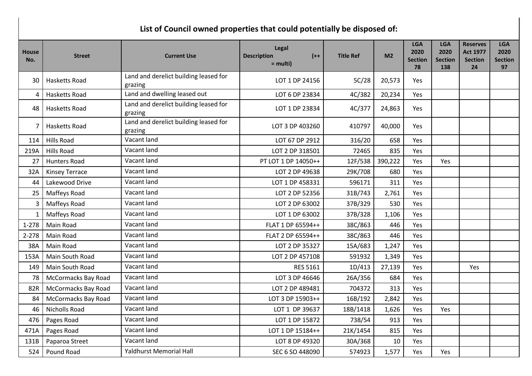## **List of Council owned properties that could potentially be disposed of:**

| <b>House</b><br>No. | <b>Street</b>         | <b>Current Use</b>                               | Legal<br><b>Description</b><br>$(++)$<br>$=$ multi) | <b>Title Ref</b> | M <sub>2</sub> | <b>LGA</b><br>2020<br><b>Section</b><br>78 | <b>LGA</b><br>2020<br><b>Section</b><br>138 | <b>Reserves</b><br><b>Act 1977</b><br><b>Section</b><br>24 | <b>LGA</b><br>2020<br><b>Section</b><br>97 |
|---------------------|-----------------------|--------------------------------------------------|-----------------------------------------------------|------------------|----------------|--------------------------------------------|---------------------------------------------|------------------------------------------------------------|--------------------------------------------|
| 30                  | <b>Hasketts Road</b>  | Land and derelict building leased for<br>grazing | LOT 1 DP 24156                                      | 5C/28            | 20,573         | <b>Yes</b>                                 |                                             |                                                            |                                            |
| 4                   | Hasketts Road         | Land and dwelling leased out                     | LOT 6 DP 23834                                      | 4C/382           | 20,234         | Yes                                        |                                             |                                                            |                                            |
| 48                  | <b>Hasketts Road</b>  | Land and derelict building leased for<br>grazing | LOT 1 DP 23834                                      | 4C/377           | 24,863         | <b>Yes</b>                                 |                                             |                                                            |                                            |
|                     | <b>Hasketts Road</b>  | Land and derelict building leased for<br>grazing | LOT 3 DP 403260                                     | 410797           | 40,000         | Yes                                        |                                             |                                                            |                                            |
| 114                 | <b>Hills Road</b>     | Vacant land                                      | LOT 67 DP 2912                                      | 316/20           | 658            | Yes                                        |                                             |                                                            |                                            |
| 219A                | <b>Hills Road</b>     | Vacant land                                      | LOT 2 DP 318501                                     | 72465            | 835            | Yes                                        |                                             |                                                            |                                            |
| 27                  | <b>Hunters Road</b>   | Vacant land                                      | PT LOT 1 DP 14050++                                 | 12F/538          | 390,222        | Yes                                        | Yes                                         |                                                            |                                            |
| 32A                 | <b>Kinsey Terrace</b> | Vacant land                                      | LOT 2 DP 49638                                      | 29K/708          | 680            | Yes                                        |                                             |                                                            |                                            |
| 44                  | Lakewood Drive        | Vacant land                                      | LOT 1 DP 458331                                     | 596171           | 311            | Yes                                        |                                             |                                                            |                                            |
| 25                  | Maffeys Road          | Vacant land                                      | LOT 2 DP 52356                                      | 31B/743          | 2,761          | Yes                                        |                                             |                                                            |                                            |
| 3                   | Maffeys Road          | Vacant land                                      | LOT 2 DP 63002                                      | 37B/329          | 530            | Yes                                        |                                             |                                                            |                                            |
|                     | Maffeys Road          | Vacant land                                      | LOT 1 DP 63002                                      | 37B/328          | 1,106          | Yes                                        |                                             |                                                            |                                            |
| $1 - 278$           | Main Road             | Vacant land                                      | FLAT 1 DP 65594++                                   | 38C/863          | 446            | Yes                                        |                                             |                                                            |                                            |
| $2 - 278$           | Main Road             | Vacant land                                      | FLAT 2 DP 65594++                                   | 38C/863          | 446            | Yes                                        |                                             |                                                            |                                            |
| 38A                 | Main Road             | Vacant land                                      | LOT 2 DP 35327                                      | 15A/683          | 1,247          | Yes                                        |                                             |                                                            |                                            |
| 153A                | Main South Road       | Vacant land                                      | LOT 2 DP 457108                                     | 591932           | 1,349          | Yes                                        |                                             |                                                            |                                            |
| 149                 | Main South Road       | Vacant land                                      | <b>RES 5161</b>                                     | 1D/413           | 27,139         | Yes                                        |                                             | Yes                                                        |                                            |
| 78                  | McCormacks Bay Road   | Vacant land                                      | LOT 3 DP 46646                                      | 26A/356          | 684            | Yes                                        |                                             |                                                            |                                            |
| 82R                 | McCormacks Bay Road   | Vacant land                                      | LOT 2 DP 489481                                     | 704372           | 313            | Yes                                        |                                             |                                                            |                                            |
| 84                  | McCormacks Bay Road   | Vacant land                                      | LOT 3 DP 15903++                                    | 16B/192          | 2,842          | Yes                                        |                                             |                                                            |                                            |
| 46                  | <b>Nicholls Road</b>  | Vacant land                                      | LOT 1 DP 39637                                      | 18B/1418         | 1,626          | Yes                                        | Yes                                         |                                                            |                                            |
| 476                 | Pages Road            | Vacant land                                      | LOT 1 DP 15872                                      | 738/54           | 913            | Yes                                        |                                             |                                                            |                                            |
| 471A                | Pages Road            | Vacant land                                      | LOT 1 DP 15184++                                    | 21K/1454         | 815            | Yes                                        |                                             |                                                            |                                            |
| 131B                | Paparoa Street        | Vacant land                                      | LOT 8 DP 49320                                      | 30A/368          | 10             | Yes                                        |                                             |                                                            |                                            |
| 524                 | Pound Road            | <b>Yaldhurst Memorial Hall</b>                   | SEC 6 SO 448090                                     | 574923           | 1,577          | Yes                                        | Yes                                         |                                                            |                                            |